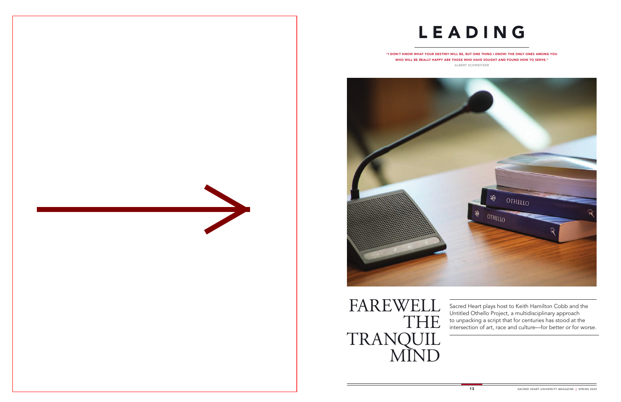$B_{\rm B}$  behavioral requirements of the behavioral requirements of the behavioral requirements of the behavioral requirements of the behavioral requirements of the behavioral requirements of the behavioral requirements of of an emotional support animal, these

IS THE FIRST IN THE FIRST IN THE COUNTRY TO  $\mathcal{L}$ 

a handful of other schools (such as Yale, Brown, Duke and Columbia) even have canine complete complete control of the others are all dedicated to graduate-level study. Sacred Heart is the only school with a Canine Cognition Lab where undergraduate research assistants conduct the studies and run the lab under faculty mentorship, positioning SHU on the "cutting-est" edge of a cutting-edge





Sacred Heart plays host to Keith Hamilton Cobb and the Untitled Othello Project, a multidisciplinary approach to unpacking a script that for centuries has stood at the intersection of art, race and culture—for better or for worse.

"I DON'T KNOW WHAT YOUR DESTINY WILL BE, BUT ONE THING I KNOW: THE ONLY ONES AMONG YOU WHO WILL BE REALLY HAPPY ARE THOSE WHO HAVE SOUGHT AND FOUND HOW TO SERVE." ALBERT SCHWEITZER